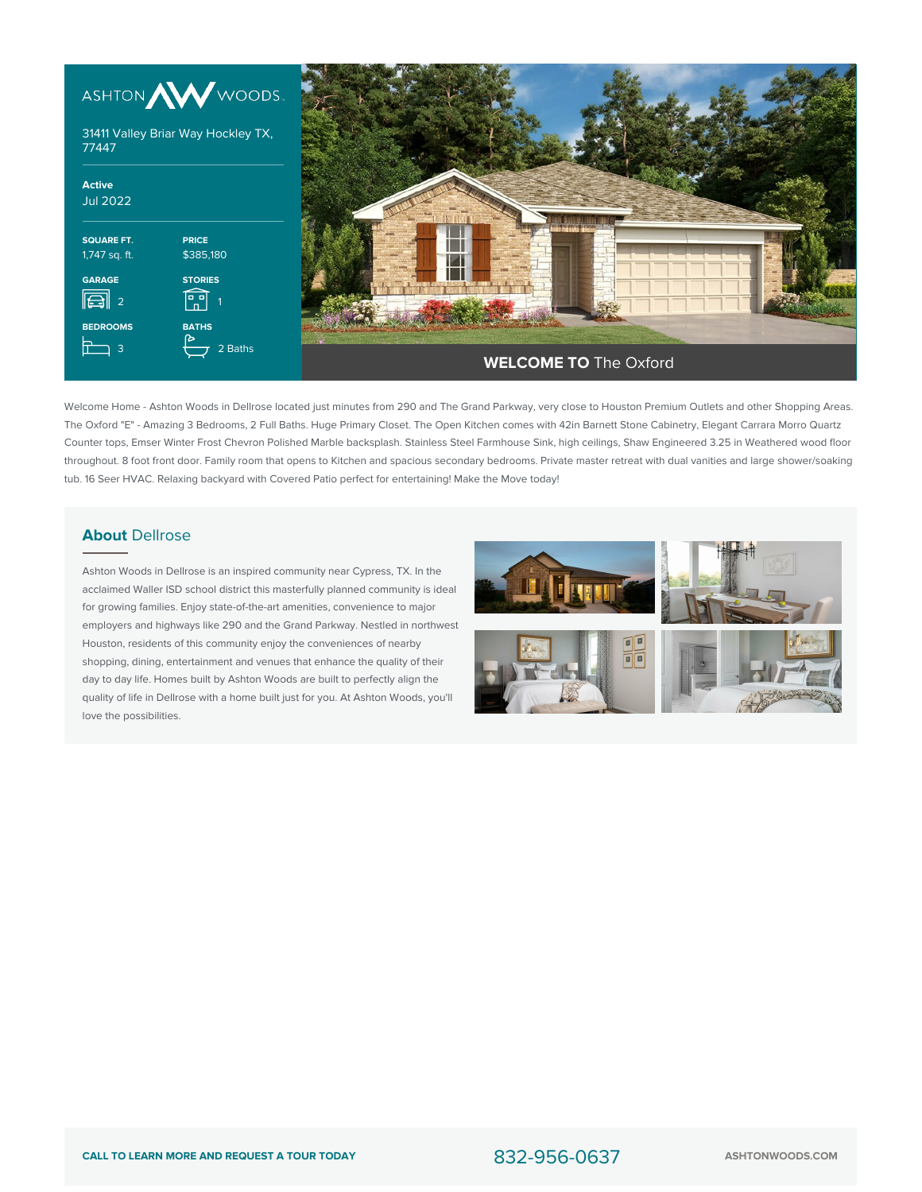



Welcome Home - Ashton Woods in Dellrose located just minutes from 290 and The Grand Parkway, very close to Houston Premium Outlets and other Shopping Areas. The Oxford "E" - Amazing 3 Bedrooms, 2 Full Baths. Huge Primary Closet. The Open Kitchen comes with 42in Barnett Stone Cabinetry, Elegant Carrara Morro Quartz Counter tops, Emser Winter Frost Chevron Polished Marble backsplash. Stainless Steel Farmhouse Sink, high ceilings, Shaw Engineered 3.25 in Weathered wood floor throughout. 8 foot front door. Family room that opens to Kitchen and spacious secondary bedrooms. Private master retreat with dual vanities and large shower/soaking tub. 16 Seer HVAC. Relaxing backyard with Covered Patio perfect for entertaining! Make the Move today!

## **About** Dellrose

Ashton Woods in Dellrose is an inspired community near Cypress, TX. In the acclaimed Waller ISD school district this masterfully planned community is ideal for growing families. Enjoy state-of-the-art amenities, convenience to major employers and highways like 290 and the Grand Parkway. Nestled in northwest Houston, residents of this community enjoy the conveniences of nearby shopping, dining, entertainment and venues that enhance the quality of their day to day life. Homes built by Ashton Woods are built to perfectly align the quality of life in Dellrose with a home built just for you. At Ashton Woods, you'll love the possibilities.

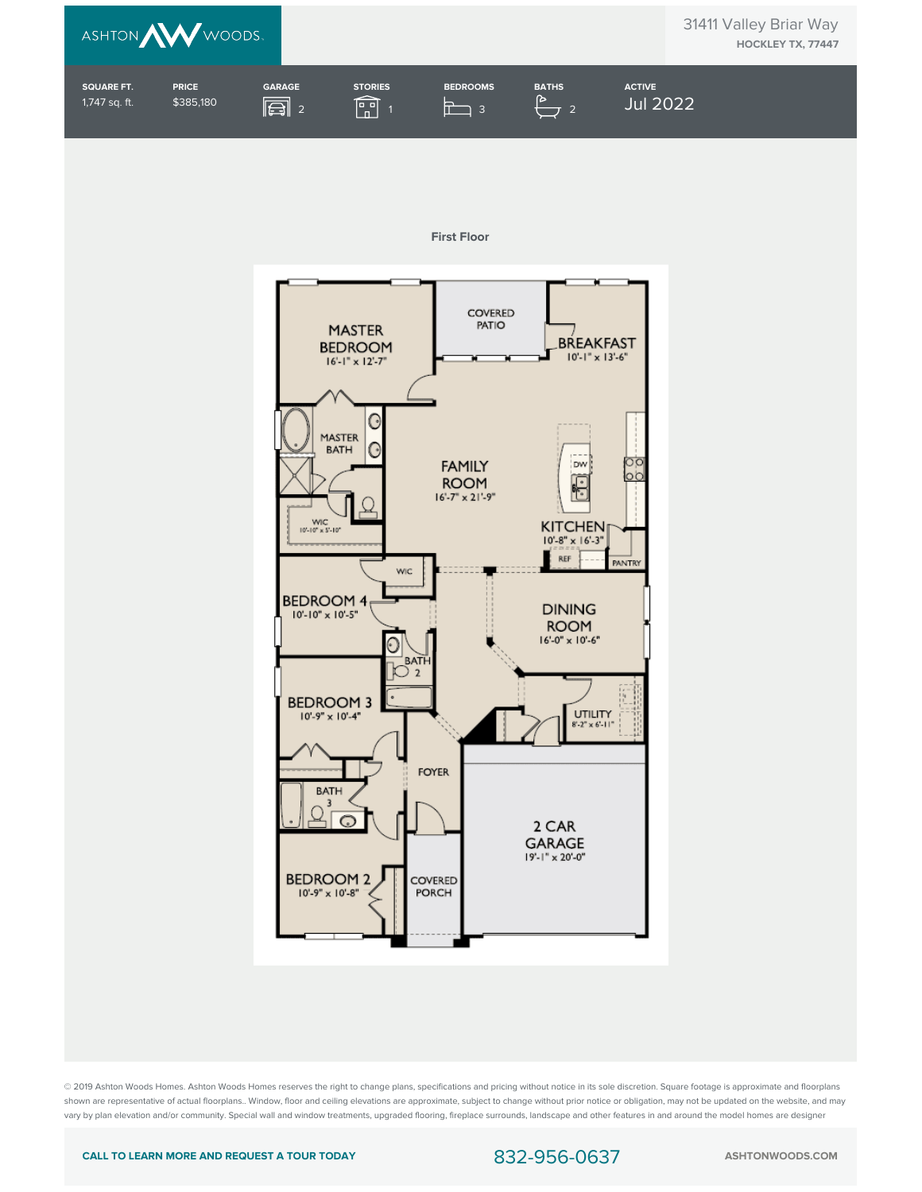



© 2019 Ashton Woods Homes. Ashton Woods Homes reserves the right to change plans, specifications and pricing without notice in its sole discretion. Square footage is approximate and floorplans shown are representative of actual floorplans.. Window, floor and ceiling elevations are approximate, subject to change without prior notice or obligation, may not be updated on the website, and may vary by plan elevation and/or community. Special wall and window treatments, upgraded flooring, fireplace surrounds, landscape and other features in and around the model homes are designer